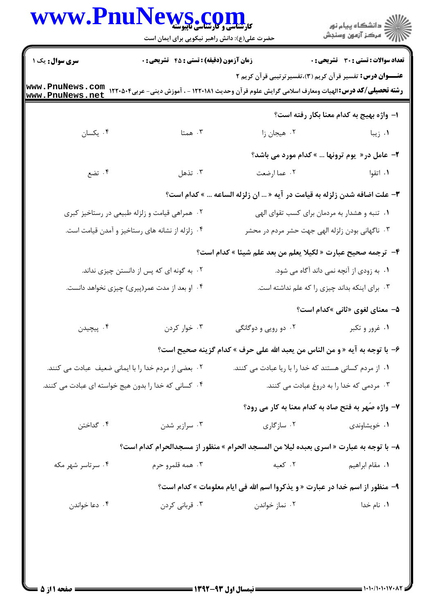|                                                                                                                  | WWW.PnuNews.com<br>حضرت علی(ع): دانش راهبر نیکویی برای ایمان است                                                                                              |                                                                                        | ِ الأر دانشگاه پيام نور<br>ا∛هرکز آزمون وسنجش                    |
|------------------------------------------------------------------------------------------------------------------|---------------------------------------------------------------------------------------------------------------------------------------------------------------|----------------------------------------------------------------------------------------|------------------------------------------------------------------|
| <b>سری سوال :</b> یک ۱                                                                                           | زمان آزمون (دقیقه) : تستی : 45 گتشریحی : 0                                                                                                                    |                                                                                        | تعداد سوالات : تستى : 30 ٪ تشريحي : 0                            |
| www.PnuNews.net                                                                                                  | <b>رشته تحصیلی/کد درس:</b> الهیات ومعارف اسلامی گرایش علوم قرآن وحدیث ۱۲۲۰۱۸۱ - ، آموزش دینی- عربی۱۲۲۰۵۰۴ به www . PnuNews . COM<br>-----   Det Morre     not |                                                                                        | <b>عنـــوان درس:</b> تفسیر قرآن کریم (۳)،تفسیرترتیبی قرآن کریم ۲ |
|                                                                                                                  |                                                                                                                                                               |                                                                                        | ا– واژه بهيج به كدام معنا بكار رفته است؟                         |
| ۰۴ یکسان                                                                                                         | . همتا $\cdot$                                                                                                                                                | ٠٢ هيجان زا                                                                            | ۰۱ زیبا                                                          |
|                                                                                                                  |                                                                                                                                                               |                                                                                        | ۲- عامل در« یوم ترونها  » کدام مورد می باشد؟                     |
| ۰۴ تضع                                                                                                           | $\cdot$ تذهل                                                                                                                                                  | ٠٢ عما ارضعت                                                                           | ۰۱ اتقوا                                                         |
|                                                                                                                  |                                                                                                                                                               | <b>۳</b> – علت اضافه شدن زلزله به قیامت در آیه «  ان زلزله الساعه  » کدام است؟         |                                                                  |
|                                                                                                                  | ۰۲ همراهی قیامت و زلزله طبیعی در رستاخیز کبری                                                                                                                 |                                                                                        | ۰۱ تنبه و هشدار به مردمان برای کسب تقوای الهی                    |
|                                                                                                                  | ۰۴ زلزله از نشانه های رستاخیز و آمدن قیامت است.                                                                                                               | ۰۳ ناگهانی بودن زلزله الهی جهت حشر مردم در محشر                                        |                                                                  |
|                                                                                                                  |                                                                                                                                                               | ۴- ترجمه صحيح عبارت « لكيلا يعلم من بعد علم شيئا » كدام است؟                           |                                                                  |
|                                                                                                                  | ۰۲ به گونه ای که پس از دانستن چیزی نداند.                                                                                                                     |                                                                                        | ۰۱ به زودی از آنچه نمی داند آگاه می شود.                         |
| ۰۴ او بعد از مدت عمر(پیری) چیزی نخواهد دانست.                                                                    |                                                                                                                                                               |                                                                                        | ۰۳ برای اینکه بداند چیزی را که علم نداشته است.                   |
|                                                                                                                  |                                                                                                                                                               |                                                                                        | ۵– معنای لغوی «ثانی »کدام است؟                                   |
| ۰۴ پیچیدن                                                                                                        | ۰۳ خوار کردن                                                                                                                                                  | ۰۱ غرور و تکبر سمعت ۲۰ دو رویی و دوگانگی $\cdot$                                       |                                                                  |
|                                                                                                                  |                                                                                                                                                               | ۶– با توجه به آيه « و من الناس من يعبد الله على حرف » كدام گزينه صحيح است؟             |                                                                  |
| ۰۱ از مردم کسانی هستند که خدا را با ریا عبادت می کنند.<br>٢٠  بعضي از مردم خدا را با ايماني ضعيف  عبادت مي كنند. |                                                                                                                                                               |                                                                                        |                                                                  |
| ۰۴ کسانی که خدا را بدون هیج خواسته ای عبادت می کنند.                                                             |                                                                                                                                                               | ۰۳ مردمی که خدا را به دروغ عبادت می کنند.                                              |                                                                  |
|                                                                                                                  |                                                                                                                                                               |                                                                                        | ۷- واژه صَهر به فتح صاد به کدام معنا به کار می رود؟              |
| ۰۴ گداختن                                                                                                        | ۰۳ سرازیر شدن                                                                                                                                                 | ۰۲ سازگاری                                                                             | ۰۱ خویشاوندی                                                     |
|                                                                                                                  |                                                                                                                                                               | ٨– با توجه به عبارت « اسرى بعبده ليلا من المسجد الحرام » منظور از مسجدالحرام كدام است؟ |                                                                  |
| ۰۴ سرتاسر شهر مکه                                                                                                | ۰۳ همه قلمرو حرم                                                                                                                                              | ۰۲ کعبه                                                                                | ۰۱ مقام ابراهیم                                                  |
|                                                                                                                  |                                                                                                                                                               | ۹- منظور از اسم خدا در عبارت « و يذكروا اسم الله في ايام معلومات » كدام است؟           |                                                                  |
| ۰۴ دعا خواندن                                                                                                    | ۰۳ قربانی کردن                                                                                                                                                | ۰۲ نماز خواندن                                                                         | ۰۱ نام خدا                                                       |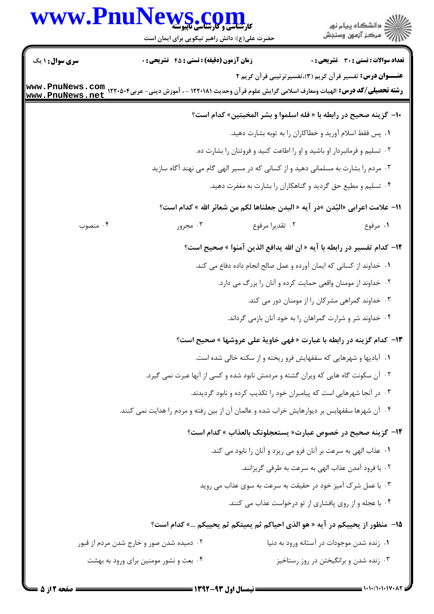## WWW.PnuNews.com

ے<br>کا اللہ کا استگاہ پیام نور<br>کا اللہ میکز آزمون وسنجش

حضرت علی(ع): دانش راهبر نیکویی برای ایمان است

| <b>سری سوال : ۱ یک</b> | زمان آزمون (دقیقه) : تستی : 45 آتشریحی : 0                                                                                                             |                 | <b>تعداد سوالات : تستی : 30 ٪ تشریحی : 0</b>                                       |
|------------------------|--------------------------------------------------------------------------------------------------------------------------------------------------------|-----------------|------------------------------------------------------------------------------------|
|                        |                                                                                                                                                        |                 | <b>عنـــوان درس:</b> تفسیر قرآن کریم (۳)،تفسیرترتیبی قرآن کریم ۲                   |
|                        | <b>رشته تحصیلی/کد درس:</b> الهیات ومعارف اسلامی گرایش علوم قرآن وحدیث ۱۲۲۰۱۸۱ - ، آموزش دینی- عربی۱۲۲۰۵۰۴ و www . PnuNews . com<br>www . PnuNews . net |                 |                                                                                    |
|                        |                                                                                                                                                        |                 | •ا- گزینه صحیح در رابطه با « فله اسلموا و بشر المخبتین» کدام است؟                  |
|                        |                                                                                                                                                        |                 | ۰۱ پس فقط اسلام آورید و خطاکاران را به توبه بشارت دهید.                            |
|                        |                                                                                                                                                        |                 | ۰۲ تسلیم و فرمانبردار او باشید و او را اطاعت کنید و فروتنان را بشارت ده.           |
|                        |                                                                                                                                                        |                 | ۰۳ مردم را بشارت به مسلمانی دهید و از کسانی که در مسیر الهی گام می نهند آگاه سازید |
|                        |                                                                                                                                                        |                 | ۰۴ تسلیم و مطیع حق گردید و گناهکاران را بشارت به مغفرت دهید.                       |
|                        |                                                                                                                                                        |                 | 11– علامت اعرابي «البُدن »در آيه « البدن جعلناها لكم من شعائر الله » كدام است؟     |
| ۰۴ منصوب               | ۰۳ مجرور                                                                                                                                               | ٠٢ تقديرا مرفوع | ۰۱ مرفوع                                                                           |
|                        |                                                                                                                                                        |                 | 1۲– كدام تفسير در رابطه با آيه « ان الله يدافع الذين آمنوا » صحيح است؟             |
|                        |                                                                                                                                                        |                 | ١. خداوند از كساني كه ايمان آورده و عمل صالح انجام داده دفاع مي كند.               |
|                        |                                                                                                                                                        |                 | ۰۲ خداوند از مومنان واقعی حمایت کرده و آنان را بزرگ می دارد.                       |
|                        |                                                                                                                                                        |                 | ۰۳ خداوند گمراهی مشرکان را از مومنان دور می کند.                                   |
|                        |                                                                                                                                                        |                 | ۰۴ خداوند شر و شرارت گمراهان را به خود آنان بازمی گرداند.                          |
|                        |                                                                                                                                                        |                 | ۱۳- کدام گزینه در رابطه با عبارت « فهی خاویهٔ علی عروشها » صحیح است؟               |
|                        |                                                                                                                                                        |                 | ۰۱ آبادیها و شهرهایی که سقفهایش فرو ریخته و از سکنه خالی شده است.                  |
|                        |                                                                                                                                                        |                 | ۰۲ آن سکونت گاه هایی که ویران گشته و مردمش نابود شده و کسی از آنها عبرت نمی گیرد.  |
|                        |                                                                                                                                                        |                 | ۰۳ در آنجا شهرهایی است که پیامبران خود را تکذیب کرده و نابود گردیدند.              |
|                        | ۰۴ آن شهرها سقفهایس بر دیوارهایش خراب شده و عالمان آن از بین رفته و مردم را هدایت نمی کنند.                                                            |                 |                                                                                    |
|                        |                                                                                                                                                        |                 | ۱۴- گزینه صحیح در خصوص عبارت« یستعجلونک بالعذاب » کدام است؟                        |
|                        |                                                                                                                                                        |                 | ۰۱ عذاب الهي به سرعت بر آنان فرو مي ريزد و آنان را نابود مي كند.                   |
|                        |                                                                                                                                                        |                 | ۰۲ با فرود آمدن عذاب الهي به سرعت به طرفي گريزانند.                                |
|                        |                                                                                                                                                        |                 | ۰۳ با عمل شرک آمیز خود در حقیقت به سرعت به سوی عذاب می روید                        |
|                        |                                                                                                                                                        |                 | ۰۴ با عجله و از روی پافشاری از تو درخواست عذاب می کنند.                            |
|                        |                                                                                                                                                        |                 | 1۵–  منظور از یحییکم در آیه « هو الذی احیاکم ثم یمیتکم ثم یحییکم …» کدام است؟      |
|                        | ۰۲ دمیده شدن صور و خارج شدن مردم از قبور                                                                                                               |                 | ٠١ زنده شدن موجودات در آستانه ورود به دنيا                                         |
|                        | ۰۴ بعث و نشور مومنین برای ورود به بهشت                                                                                                                 |                 | ۰۳ زنده شدن و برانگیختن در روز رستاخیز                                             |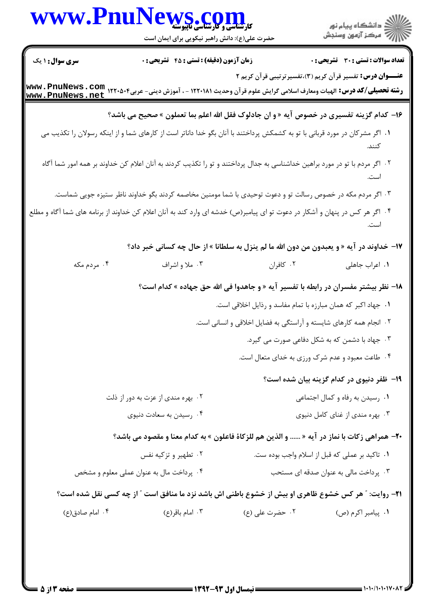|                                          | WWW.PnuNews.com<br>حضرت علی(ع): دانش راهبر نیکویی برای ایمان است                                                                                 |                                                                    | الاد دانشگاه پيام نور<br>الاستمرکز آزمون وسنجش                                     |
|------------------------------------------|--------------------------------------------------------------------------------------------------------------------------------------------------|--------------------------------------------------------------------|------------------------------------------------------------------------------------|
| <b>سری سوال :</b> ۱ یک                   | زمان آزمون (دقیقه) : تستی : 45 آتشریحی : 0                                                                                                       |                                                                    | تعداد سوالات : تستي : 30 ٪ تشريحي : 0                                              |
|                                          | رشته تحصیلی/کد درس: الهیات ومعارف اسلامی گرایش علوم قرآن وحدیث ۱۲۲۰۱۸۱ - ، آموزش دینی- عربی۱۲۲۰۵۰۴ با www . PnuNews . net<br>www . PnuNews . net |                                                                    | <b>عنـــوان درس:</b> تفسیر قرآن کریم (۳)،تفسیرترتیبی قرآن کریم ۲                   |
|                                          | ۱۶- کدام گزینه تفسیری در خصوص آیه « و ان جادلوک فقل الله اعلم بما تعملون » صحیح می باشد؟                                                         |                                                                    |                                                                                    |
|                                          | ۰۱ اگر مشرکان در مورد قربانی با تو به کشمکش پرداختند با آنان بگو خدا داناتر است از کارهای شما و از اینکه رسولان را تکذیب می                      |                                                                    |                                                                                    |
|                                          | ۲. اگر مردم با تو در مورد براهین خداشناسی به جدال پرداختند و تو را تکذیب کردند به آنان اعلام کن خداوند بر همه امور شما آگاه                      |                                                                    |                                                                                    |
|                                          | ۰۳ اگر مردم مکه در خصوص رسالت تو و دعوت توحیدی با شما مومنین مخاصمه کردند بگو خداوند ناظر ستیزه جویی شماست.                                      |                                                                    |                                                                                    |
|                                          | ۰۴ اگر هر کس در پنهان و آشکار در دعوت تو ای پیامبر(ص) خدشه ای وارد کند به آنان اعلام کن خداوند از برنامه های شما آگاه و مطلع                     |                                                                    |                                                                                    |
|                                          | ۱۷- خداوند در آیه « و یعبدون من دون الله ما لم ینزل به سلطانا » از حال چه کسانی خبر داد؟                                                         |                                                                    |                                                                                    |
| ۰۴ مردم مکه                              | ۰۳ ملا و اشراف                                                                                                                                   | ۰۲ کافران                                                          | ٠١. اعراب جاهلي                                                                    |
|                                          |                                                                                                                                                  |                                                                    | ۱۸− نظر بیشتر مفسران در رابطه با تفسیر آیه « و جاهدوا فی الله حق جهاده » کدام است؟ |
|                                          |                                                                                                                                                  | ۰۱ جهاد اکبر که همان مبارزه با تمام مفاسد و رذایل اخلاقی است.      |                                                                                    |
|                                          |                                                                                                                                                  | ۰۲ انجام همه کارهای شایسته و آراستگی به فضایل اخلاقی و انسانی است. |                                                                                    |
|                                          |                                                                                                                                                  |                                                                    | ۰۳ جهاد با دشمن که به شکل دفاعی صورت می گیرد.                                      |
|                                          |                                                                                                                                                  |                                                                    | ۰۴ طاعت معبود و عدم شرک ورزی به خدای متعال است.                                    |
|                                          |                                                                                                                                                  |                                                                    | ۱۹- ظفر دنیوی در کدام گزینه بیان شده است؟                                          |
| ۰۲ بهره مندی از عزت به دور از ذلت        |                                                                                                                                                  | ۰۱ رسیدن به رفاه و کمال اجتماعی                                    |                                                                                    |
|                                          | ۰۴ رسیدن به سعادت دنیوی                                                                                                                          | ۰۳ بهره مندی از غنای کامل دنیوی                                    |                                                                                    |
|                                          | <b>٢٠</b> - همراهي زكات با نماز در آيه «  و الذين هم للزكاة فاعلون » به كدام معنا و مقصود مي باشد؟                                               |                                                                    |                                                                                    |
|                                          | ۰۲ تطهیر و تزکیه نفس                                                                                                                             | ۰۱ تاکید بر عملی که قبل از اسلام واجب بوده ست.                     |                                                                                    |
| ۰۴ پرداخت مال به عنوان عملی معلوم و مشخص |                                                                                                                                                  |                                                                    | ۰۳ پرداخت مالی به عنوان صدقه ای مستحب                                              |
|                                          | <b>۲۱</b> - روایت: " هر کس خشوع ظاهری او بیش از خشوع باطنی اش باشد نزد ما منافق است " از چه کسی نقل شده است؟                                     |                                                                    |                                                                                    |
| ۰۴ امام صادق(ع)                          | ۰۳ امام باقر(ع)                                                                                                                                  | ۰۲ حضرت على (ع)                                                    | ٠١. پيامبر اکرم (ص)                                                                |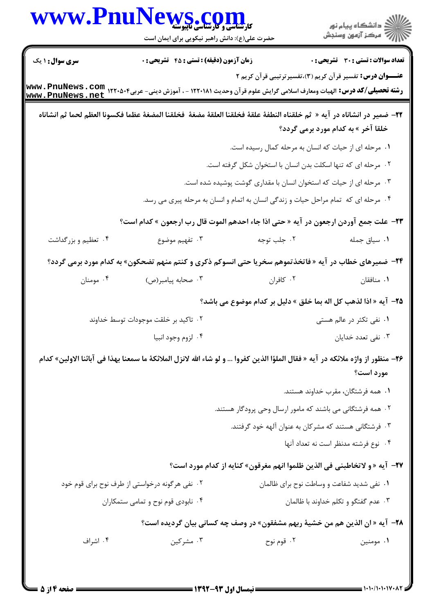| <b>WWW.Pnu</b> f       | <b>MS . COM</b><br>کارشناسی و کارشناسی ناپیوسته<br>حضرت علی(ع): دانش راهبر نیکویی برای ایمان است                                          |                                                                                      | ر<br>دانشڪاه پيام نور)<br>ا∛ مرکز آزمون وسنجش |
|------------------------|-------------------------------------------------------------------------------------------------------------------------------------------|--------------------------------------------------------------------------------------|-----------------------------------------------|
| <b>سری سوال : ۱ یک</b> | زمان آزمون (دقیقه) : تستی : 45 گتشریحی : 0                                                                                                |                                                                                      | تعداد سوالات : تستى : 30 قشريحى : 0           |
|                        | رشته تحصیلی/کد درس: الهیات ومعارف اسلامی گرایش علوم قرآن وحدیث ۱۲۲۰۱۸۱ - ، آموزش دینی- عربی۱۲۲۰۵۰۴ ، www . PnuNews<br>www . PnuNews . net | <b>عنــــوان درس:</b> تفسیر قرآن کریم (۳)،تفسیرترتیبی قرآن کریم ۲                    |                                               |
|                        | 31- ضمير در انشاناه در آيه «  ثم خلقناه النطفة علقة فخلقنا العلقة مضغة  فخلقنا المضغة عظما فكسونا العظم لحما ثم انشاناه                   |                                                                                      | خلقا آخر » به کدام مورد برمی گردد؟            |
|                        |                                                                                                                                           | ۰۱ مرحله ای از حیات که انسان به مرحله کمال رسیده است.                                |                                               |
|                        |                                                                                                                                           | ۰۲ مرحله ای که تنها اسکلت بدن انسان با استخوان شکل گرفته است.                        |                                               |
|                        |                                                                                                                                           | ۰۳ مرحله ای از حیات که استخوان انسان با مقداری گوشت پوشیده شده است.                  |                                               |
|                        |                                                                                                                                           | ۰۴ مرحله ای که  تمام مراحل حیات و زندگی انسان به اتمام و انسان به مرحله پیری می رسد. |                                               |
|                        | ٢٣- علت جمع آوردن ارجعون در آيه « حتى اذا جاء احدهم الموت قال رب ارجعون » كدام است؟                                                       |                                                                                      |                                               |
| ۰۴ تعظیم و بزرگداشت    | ۰۳ تفهیم موضوع                                                                                                                            | ۰۲ جلب توجه                                                                          | ٠١ سياق جمله                                  |
|                        | <b>3۴</b> - ضمیرهای خطاب در آیه « فاتخذتموهم سخریا حتی انسوکم ذکری و کنتم منهم تضحکون» به کدام مورد برمی گردد؟                            |                                                                                      |                                               |
| ۰۴ مومنان              | ۰۳ صحابه پیامبر(ص)                                                                                                                        | ۰۲ کافران                                                                            | ٠١. منافقان                                   |
|                        |                                                                                                                                           | 7۵– آيه « اذا لذهب كل اله بما خلق » دليل بر كدام موضوع مي باشد؟                      |                                               |
|                        | ۰۲ تاکید بر خلقت موجودات توسط خداوند                                                                                                      |                                                                                      | ۰۱ نفی تکثر در عالم هستی                      |
|                        | ۰۴ لزوم وجود انبيا                                                                                                                        |                                                                                      | ۰۳ نفی تعدد خدایان                            |
|                        | 7۶– منظور از واژه ملائكه در آيه « فقال الملؤا الذين كفروا … و لو شاء الله لانزل الملائكة ما سمعنا بهذا في آبائنا الاولين» كدام            |                                                                                      | مورد است؟                                     |
|                        |                                                                                                                                           |                                                                                      | ۰۱ همه فرشتگان، مقرب خداوند هستند.            |
|                        |                                                                                                                                           | ۰۲ همه فرشتگانی می باشند که مامور ارسال وحی پرودگار هستند.                           |                                               |
|                        |                                                                                                                                           | ۰۳ فرشتگانی هستند که مشرکان به عنوان آلهه خود گرفتند.                                |                                               |
|                        |                                                                                                                                           |                                                                                      | ۰۴ نوع فرشته مدنظر است نه تعداد آنها          |
|                        |                                                                                                                                           | 77- آيه « و لاتخاطبني في الذين ظلموا انهم مغرقون» كنايه از كدام مورد است؟            |                                               |
|                        | ۰۲ نفی هرگونه درخواستی از طرف نوح برای قوم خود                                                                                            | ٠١ نفي شديد شفاعت و وساطت نوح براي ظالمان                                            |                                               |
|                        | ۰۴ نابودی قوم نوح و تمامی ستمکاران                                                                                                        | ۰۳ عدم گفتگو و تکلم خداوند با ظالمان                                                 |                                               |
|                        |                                                                                                                                           | <b>٢٨</b> - آيه « ان الذين هم من خشية ربهم مشفقون» در وصف چه كساني بيان گرديده است؟  |                                               |
| ۰۴ اشراف               | ۰۳ مشرکین                                                                                                                                 | ۰۲ قوم نوح                                                                           | ۰۱ مومنین                                     |
|                        |                                                                                                                                           |                                                                                      |                                               |
|                        |                                                                                                                                           |                                                                                      |                                               |